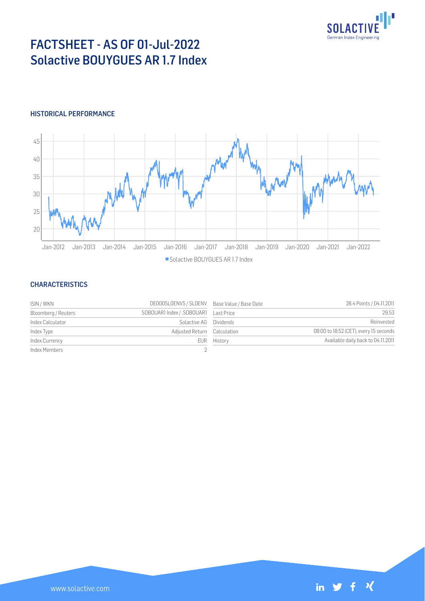

# FACTSHEET - AS OF 01-Jul-2022 Solactive BOUYGUES AR 1.7 Index

## HISTORICAL PERFORMANCE



#### **CHARACTERISTICS**

| ISIN / WKN          | DE000SLOENV5 / SLOENV Base Value / Base Date |             | 28.4 Points / 04.11.2011               |
|---------------------|----------------------------------------------|-------------|----------------------------------------|
| Bloomberg / Reuters |                                              |             | 29.53                                  |
| Index Calculator    | Solactive AG Dividends                       |             | Reinvested                             |
| Index Type          | Adjusted Return Calculation                  |             | 08:00 to 18:52 (CET), every 15 seconds |
| Index Currency      |                                              | EUR History | Available daily back to 04.11.2011     |
| Index Members       |                                              |             |                                        |

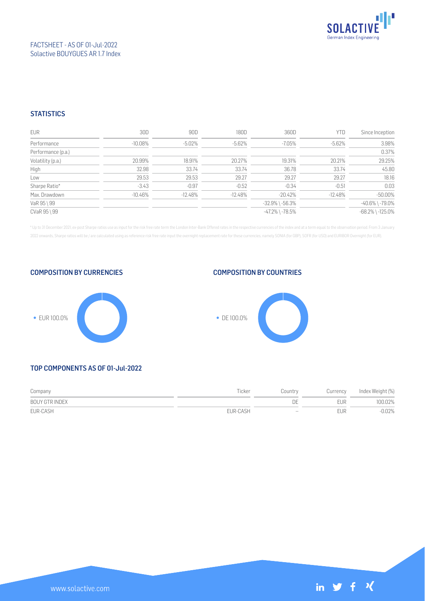

## FACTSHEET - AS OF 01-Jul-2022 Solactive BOUYGUES AR 1.7 Index

## **STATISTICS**

| EUR                | 30D        | 90D       | 180D      | 360D                  | <b>YTD</b> | Since Inception        |
|--------------------|------------|-----------|-----------|-----------------------|------------|------------------------|
| Performance        | $-10.08\%$ | $-5.02\%$ | $-5.62%$  | -7.05%                | $-5.62\%$  | 3.98%                  |
| Performance (p.a.) |            |           |           |                       |            | 0.37%                  |
| Volatility (p.a.)  | 20.99%     | 18.91%    | 20.27%    | 19.31%                | 20.21%     | 29.25%                 |
| High               | 32.98      | 33.74     | 33.74     | 36.78                 | 33.74      | 45.80                  |
| Low                | 29.53      | 29.53     | 29.27     | 29.27                 | 29.27      | 18.16                  |
| Sharpe Ratio*      | $-3.43$    | $-0.97$   | $-0.52$   | $-0.34$               | $-0.51$    | 0.03                   |
| Max. Drawdown      | -10.46%    | $-12.48%$ | $-12.48%$ | $-20.42\%$            | $-12.48%$  | $-50.00%$              |
| VaR 95 \ 99        |            |           |           | $-32.9\%$ \ $-56.3\%$ |            | $-40.6\%$ \ $-79.0\%$  |
| CVaR 95 \ 99       |            |           |           | $-47.2\%$ \ $-78.5\%$ |            | $-68.2\%$ \ $-125.0\%$ |

\* Up to 31 December 2021, ex-post Sharpe ratios use as input for the risk free rate term the London Inter-Bank Offered rates in the respective currencies of the index and at a term equal to the observation period. From 3 J 2022 onwards, Sharpe ratios will be / are calculated using as reference risk free rate input the overnight replacement rate for these currencies, namely SONIA (for GBP), SOFR (for USD) and EURIBOR Overnight (for EUR).







## TOP COMPONENTS AS OF 01-Jul-2022

| Company        | Ticker   | Country                      | Currency   | Index Weight (%) |
|----------------|----------|------------------------------|------------|------------------|
| BOUY GTR INDEX |          |                              | <b>FUR</b> | 100.02%          |
| EUR-CASH       | EUR-CASH | $\qquad \qquad \blacksquare$ | EUR        | $-0.02%$         |